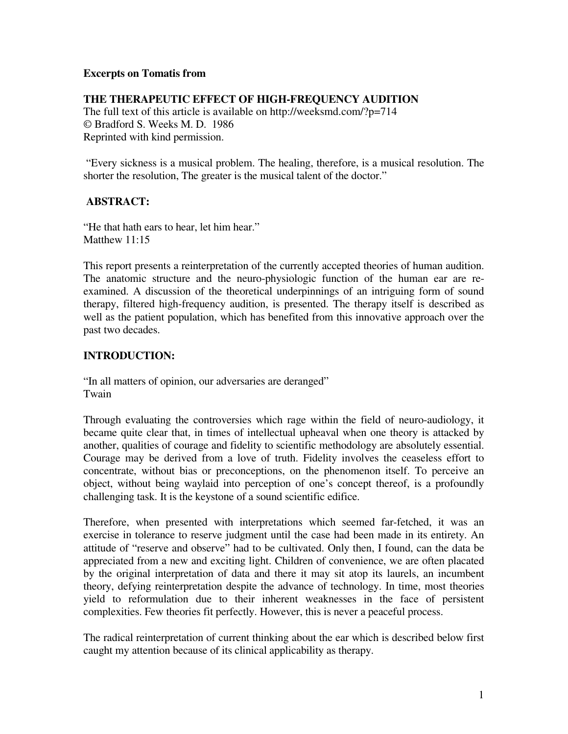#### **Excerpts on Tomatis from**

### **THE THERAPEUTIC EFFECT OF HIGH-FREQUENCY AUDITION**

The full text of this article is available on http://weeksmd.com/?p=714 © Bradford S. Weeks M. D. 1986 Reprinted with kind permission.

 "Every sickness is a musical problem. The healing, therefore, is a musical resolution. The shorter the resolution, The greater is the musical talent of the doctor."

### **ABSTRACT:**

"He that hath ears to hear, let him hear." Matthew 11:15

This report presents a reinterpretation of the currently accepted theories of human audition. The anatomic structure and the neuro-physiologic function of the human ear are reexamined. A discussion of the theoretical underpinnings of an intriguing form of sound therapy, filtered high-frequency audition, is presented. The therapy itself is described as well as the patient population, which has benefited from this innovative approach over the past two decades.

### **INTRODUCTION:**

"In all matters of opinion, our adversaries are deranged" Twain

Through evaluating the controversies which rage within the field of neuro-audiology, it became quite clear that, in times of intellectual upheaval when one theory is attacked by another, qualities of courage and fidelity to scientific methodology are absolutely essential. Courage may be derived from a love of truth. Fidelity involves the ceaseless effort to concentrate, without bias or preconceptions, on the phenomenon itself. To perceive an object, without being waylaid into perception of one's concept thereof, is a profoundly challenging task. It is the keystone of a sound scientific edifice.

Therefore, when presented with interpretations which seemed far-fetched, it was an exercise in tolerance to reserve judgment until the case had been made in its entirety. An attitude of "reserve and observe" had to be cultivated. Only then, I found, can the data be appreciated from a new and exciting light. Children of convenience, we are often placated by the original interpretation of data and there it may sit atop its laurels, an incumbent theory, defying reinterpretation despite the advance of technology. In time, most theories yield to reformulation due to their inherent weaknesses in the face of persistent complexities. Few theories fit perfectly. However, this is never a peaceful process.

The radical reinterpretation of current thinking about the ear which is described below first caught my attention because of its clinical applicability as therapy.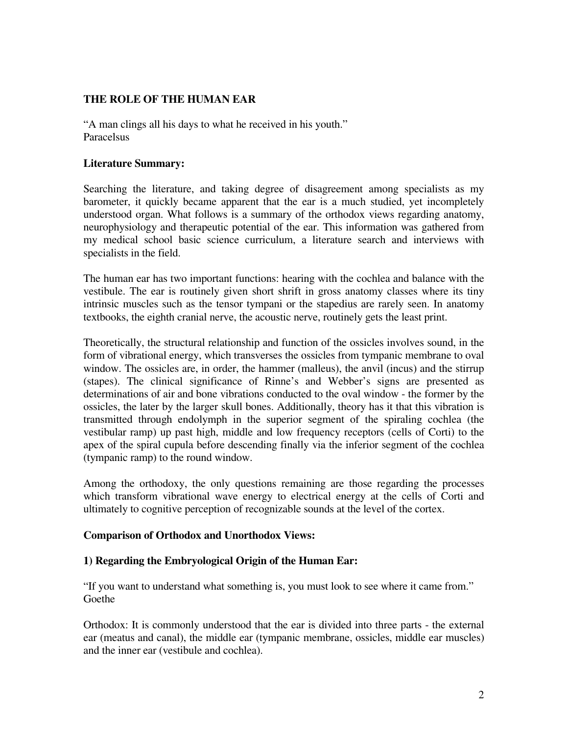### **THE ROLE OF THE HUMAN EAR**

"A man clings all his days to what he received in his youth." **Paracelsus** 

#### **Literature Summary:**

Searching the literature, and taking degree of disagreement among specialists as my barometer, it quickly became apparent that the ear is a much studied, yet incompletely understood organ. What follows is a summary of the orthodox views regarding anatomy, neurophysiology and therapeutic potential of the ear. This information was gathered from my medical school basic science curriculum, a literature search and interviews with specialists in the field.

The human ear has two important functions: hearing with the cochlea and balance with the vestibule. The ear is routinely given short shrift in gross anatomy classes where its tiny intrinsic muscles such as the tensor tympani or the stapedius are rarely seen. In anatomy textbooks, the eighth cranial nerve, the acoustic nerve, routinely gets the least print.

Theoretically, the structural relationship and function of the ossicles involves sound, in the form of vibrational energy, which transverses the ossicles from tympanic membrane to oval window. The ossicles are, in order, the hammer (malleus), the anvil (incus) and the stirrup (stapes). The clinical significance of Rinne's and Webber's signs are presented as determinations of air and bone vibrations conducted to the oval window - the former by the ossicles, the later by the larger skull bones. Additionally, theory has it that this vibration is transmitted through endolymph in the superior segment of the spiraling cochlea (the vestibular ramp) up past high, middle and low frequency receptors (cells of Corti) to the apex of the spiral cupula before descending finally via the inferior segment of the cochlea (tympanic ramp) to the round window.

Among the orthodoxy, the only questions remaining are those regarding the processes which transform vibrational wave energy to electrical energy at the cells of Corti and ultimately to cognitive perception of recognizable sounds at the level of the cortex.

#### **Comparison of Orthodox and Unorthodox Views:**

#### **1) Regarding the Embryological Origin of the Human Ear:**

"If you want to understand what something is, you must look to see where it came from." Goethe

Orthodox: It is commonly understood that the ear is divided into three parts - the external ear (meatus and canal), the middle ear (tympanic membrane, ossicles, middle ear muscles) and the inner ear (vestibule and cochlea).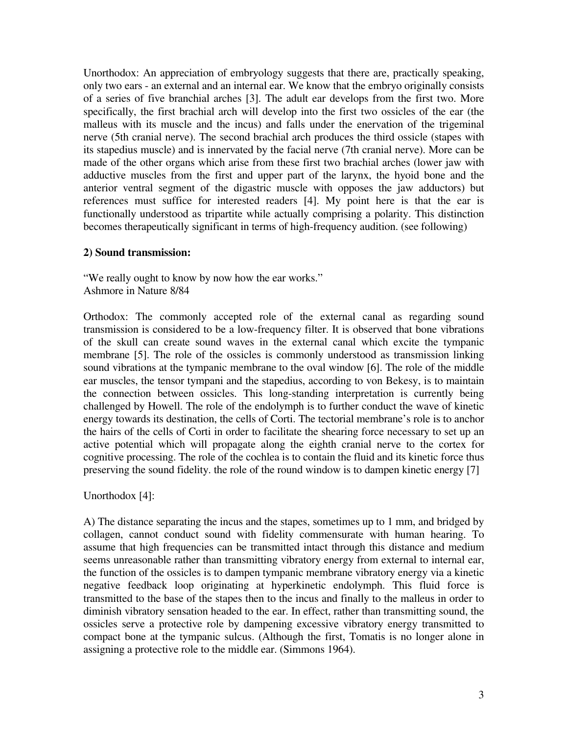Unorthodox: An appreciation of embryology suggests that there are, practically speaking, only two ears - an external and an internal ear. We know that the embryo originally consists of a series of five branchial arches [3]. The adult ear develops from the first two. More specifically, the first brachial arch will develop into the first two ossicles of the ear (the malleus with its muscle and the incus) and falls under the enervation of the trigeminal nerve (5th cranial nerve). The second brachial arch produces the third ossicle (stapes with its stapedius muscle) and is innervated by the facial nerve (7th cranial nerve). More can be made of the other organs which arise from these first two brachial arches (lower jaw with adductive muscles from the first and upper part of the larynx, the hyoid bone and the anterior ventral segment of the digastric muscle with opposes the jaw adductors) but references must suffice for interested readers [4]. My point here is that the ear is functionally understood as tripartite while actually comprising a polarity. This distinction becomes therapeutically significant in terms of high-frequency audition. (see following)

#### **2) Sound transmission:**

"We really ought to know by now how the ear works." Ashmore in Nature 8/84

Orthodox: The commonly accepted role of the external canal as regarding sound transmission is considered to be a low-frequency filter. It is observed that bone vibrations of the skull can create sound waves in the external canal which excite the tympanic membrane [5]. The role of the ossicles is commonly understood as transmission linking sound vibrations at the tympanic membrane to the oval window [6]. The role of the middle ear muscles, the tensor tympani and the stapedius, according to von Bekesy, is to maintain the connection between ossicles. This long-standing interpretation is currently being challenged by Howell. The role of the endolymph is to further conduct the wave of kinetic energy towards its destination, the cells of Corti. The tectorial membrane's role is to anchor the hairs of the cells of Corti in order to facilitate the shearing force necessary to set up an active potential which will propagate along the eighth cranial nerve to the cortex for cognitive processing. The role of the cochlea is to contain the fluid and its kinetic force thus preserving the sound fidelity. the role of the round window is to dampen kinetic energy [7]

Unorthodox [4]:

A) The distance separating the incus and the stapes, sometimes up to 1 mm, and bridged by collagen, cannot conduct sound with fidelity commensurate with human hearing. To assume that high frequencies can be transmitted intact through this distance and medium seems unreasonable rather than transmitting vibratory energy from external to internal ear, the function of the ossicles is to dampen tympanic membrane vibratory energy via a kinetic negative feedback loop originating at hyperkinetic endolymph. This fluid force is transmitted to the base of the stapes then to the incus and finally to the malleus in order to diminish vibratory sensation headed to the ear. In effect, rather than transmitting sound, the ossicles serve a protective role by dampening excessive vibratory energy transmitted to compact bone at the tympanic sulcus. (Although the first, Tomatis is no longer alone in assigning a protective role to the middle ear. (Simmons 1964).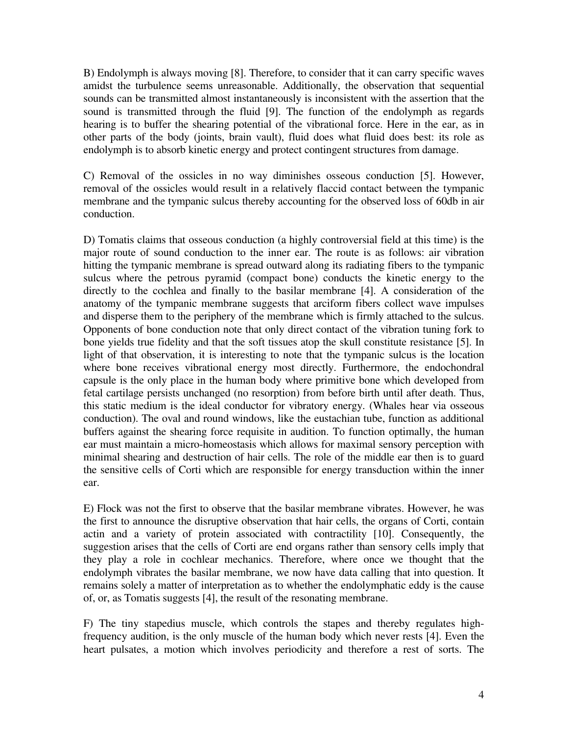B) Endolymph is always moving [8]. Therefore, to consider that it can carry specific waves amidst the turbulence seems unreasonable. Additionally, the observation that sequential sounds can be transmitted almost instantaneously is inconsistent with the assertion that the sound is transmitted through the fluid [9]. The function of the endolymph as regards hearing is to buffer the shearing potential of the vibrational force. Here in the ear, as in other parts of the body (joints, brain vault), fluid does what fluid does best: its role as endolymph is to absorb kinetic energy and protect contingent structures from damage.

C) Removal of the ossicles in no way diminishes osseous conduction [5]. However, removal of the ossicles would result in a relatively flaccid contact between the tympanic membrane and the tympanic sulcus thereby accounting for the observed loss of 60db in air conduction.

D) Tomatis claims that osseous conduction (a highly controversial field at this time) is the major route of sound conduction to the inner ear. The route is as follows: air vibration hitting the tympanic membrane is spread outward along its radiating fibers to the tympanic sulcus where the petrous pyramid (compact bone) conducts the kinetic energy to the directly to the cochlea and finally to the basilar membrane [4]. A consideration of the anatomy of the tympanic membrane suggests that arciform fibers collect wave impulses and disperse them to the periphery of the membrane which is firmly attached to the sulcus. Opponents of bone conduction note that only direct contact of the vibration tuning fork to bone yields true fidelity and that the soft tissues atop the skull constitute resistance [5]. In light of that observation, it is interesting to note that the tympanic sulcus is the location where bone receives vibrational energy most directly. Furthermore, the endochondral capsule is the only place in the human body where primitive bone which developed from fetal cartilage persists unchanged (no resorption) from before birth until after death. Thus, this static medium is the ideal conductor for vibratory energy. (Whales hear via osseous conduction). The oval and round windows, like the eustachian tube, function as additional buffers against the shearing force requisite in audition. To function optimally, the human ear must maintain a micro-homeostasis which allows for maximal sensory perception with minimal shearing and destruction of hair cells. The role of the middle ear then is to guard the sensitive cells of Corti which are responsible for energy transduction within the inner ear.

E) Flock was not the first to observe that the basilar membrane vibrates. However, he was the first to announce the disruptive observation that hair cells, the organs of Corti, contain actin and a variety of protein associated with contractility [10]. Consequently, the suggestion arises that the cells of Corti are end organs rather than sensory cells imply that they play a role in cochlear mechanics. Therefore, where once we thought that the endolymph vibrates the basilar membrane, we now have data calling that into question. It remains solely a matter of interpretation as to whether the endolymphatic eddy is the cause of, or, as Tomatis suggests [4], the result of the resonating membrane.

F) The tiny stapedius muscle, which controls the stapes and thereby regulates highfrequency audition, is the only muscle of the human body which never rests [4]. Even the heart pulsates, a motion which involves periodicity and therefore a rest of sorts. The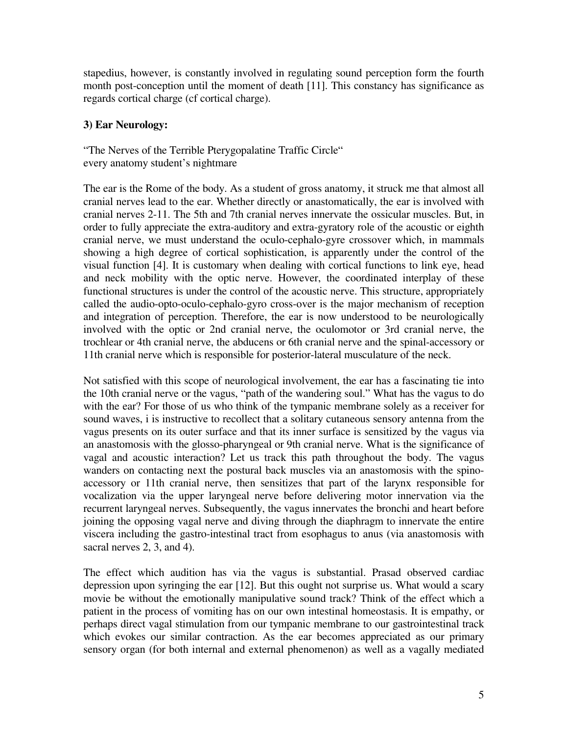stapedius, however, is constantly involved in regulating sound perception form the fourth month post-conception until the moment of death [11]. This constancy has significance as regards cortical charge (cf cortical charge).

# **3) Ear Neurology:**

"The Nerves of the Terrible Pterygopalatine Traffic Circle" every anatomy student's nightmare

The ear is the Rome of the body. As a student of gross anatomy, it struck me that almost all cranial nerves lead to the ear. Whether directly or anastomatically, the ear is involved with cranial nerves 2-11. The 5th and 7th cranial nerves innervate the ossicular muscles. But, in order to fully appreciate the extra-auditory and extra-gyratory role of the acoustic or eighth cranial nerve, we must understand the oculo-cephalo-gyre crossover which, in mammals showing a high degree of cortical sophistication, is apparently under the control of the visual function [4]. It is customary when dealing with cortical functions to link eye, head and neck mobility with the optic nerve. However, the coordinated interplay of these functional structures is under the control of the acoustic nerve. This structure, appropriately called the audio-opto-oculo-cephalo-gyro cross-over is the major mechanism of reception and integration of perception. Therefore, the ear is now understood to be neurologically involved with the optic or 2nd cranial nerve, the oculomotor or 3rd cranial nerve, the trochlear or 4th cranial nerve, the abducens or 6th cranial nerve and the spinal-accessory or 11th cranial nerve which is responsible for posterior-lateral musculature of the neck.

Not satisfied with this scope of neurological involvement, the ear has a fascinating tie into the 10th cranial nerve or the vagus, "path of the wandering soul." What has the vagus to do with the ear? For those of us who think of the tympanic membrane solely as a receiver for sound waves, i is instructive to recollect that a solitary cutaneous sensory antenna from the vagus presents on its outer surface and that its inner surface is sensitized by the vagus via an anastomosis with the glosso-pharyngeal or 9th cranial nerve. What is the significance of vagal and acoustic interaction? Let us track this path throughout the body. The vagus wanders on contacting next the postural back muscles via an anastomosis with the spinoaccessory or 11th cranial nerve, then sensitizes that part of the larynx responsible for vocalization via the upper laryngeal nerve before delivering motor innervation via the recurrent laryngeal nerves. Subsequently, the vagus innervates the bronchi and heart before joining the opposing vagal nerve and diving through the diaphragm to innervate the entire viscera including the gastro-intestinal tract from esophagus to anus (via anastomosis with sacral nerves 2, 3, and 4).

The effect which audition has via the vagus is substantial. Prasad observed cardiac depression upon syringing the ear [12]. But this ought not surprise us. What would a scary movie be without the emotionally manipulative sound track? Think of the effect which a patient in the process of vomiting has on our own intestinal homeostasis. It is empathy, or perhaps direct vagal stimulation from our tympanic membrane to our gastrointestinal track which evokes our similar contraction. As the ear becomes appreciated as our primary sensory organ (for both internal and external phenomenon) as well as a vagally mediated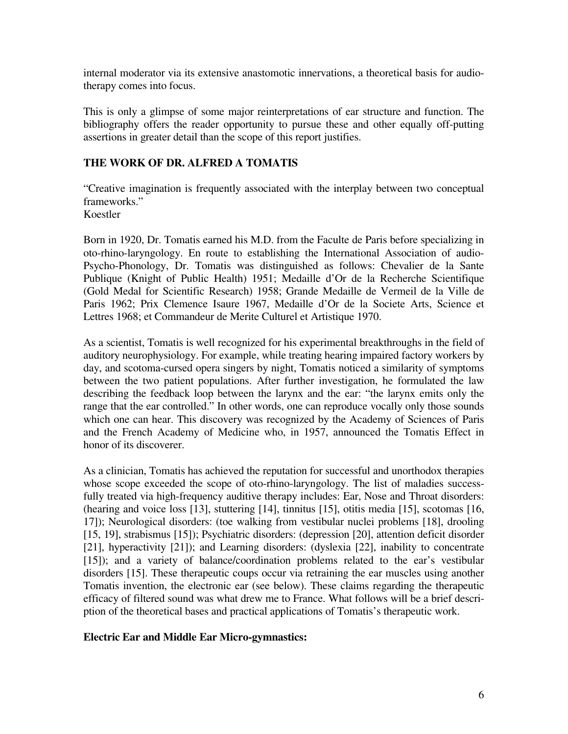internal moderator via its extensive anastomotic innervations, a theoretical basis for audiotherapy comes into focus.

This is only a glimpse of some major reinterpretations of ear structure and function. The bibliography offers the reader opportunity to pursue these and other equally off-putting assertions in greater detail than the scope of this report justifies.

# **THE WORK OF DR. ALFRED A TOMATIS**

"Creative imagination is frequently associated with the interplay between two conceptual frameworks." Koestler

Born in 1920, Dr. Tomatis earned his M.D. from the Faculte de Paris before specializing in oto-rhino-laryngology. En route to establishing the International Association of audio-Psycho-Phonology, Dr. Tomatis was distinguished as follows: Chevalier de la Sante Publique (Knight of Public Health) 1951; Medaille d'Or de la Recherche Scientifique (Gold Medal for Scientific Research) 1958; Grande Medaille de Vermeil de la Ville de Paris 1962; Prix Clemence Isaure 1967, Medaille d'Or de la Societe Arts, Science et Lettres 1968; et Commandeur de Merite Culturel et Artistique 1970.

As a scientist, Tomatis is well recognized for his experimental breakthroughs in the field of auditory neurophysiology. For example, while treating hearing impaired factory workers by day, and scotoma-cursed opera singers by night, Tomatis noticed a similarity of symptoms between the two patient populations. After further investigation, he formulated the law describing the feedback loop between the larynx and the ear: "the larynx emits only the range that the ear controlled." In other words, one can reproduce vocally only those sounds which one can hear. This discovery was recognized by the Academy of Sciences of Paris and the French Academy of Medicine who, in 1957, announced the Tomatis Effect in honor of its discoverer.

As a clinician, Tomatis has achieved the reputation for successful and unorthodox therapies whose scope exceeded the scope of oto-rhino-laryngology. The list of maladies successfully treated via high-frequency auditive therapy includes: Ear, Nose and Throat disorders: (hearing and voice loss [13], stuttering [14], tinnitus [15], otitis media [15], scotomas [16, 17]); Neurological disorders: (toe walking from vestibular nuclei problems [18], drooling [15, 19], strabismus [15]); Psychiatric disorders: (depression [20], attention deficit disorder [21], hyperactivity [21]); and Learning disorders: (dyslexia [22], inability to concentrate [15]); and a variety of balance/coordination problems related to the ear's vestibular disorders [15]. These therapeutic coups occur via retraining the ear muscles using another Tomatis invention, the electronic ear (see below). These claims regarding the therapeutic efficacy of filtered sound was what drew me to France. What follows will be a brief description of the theoretical bases and practical applications of Tomatis's therapeutic work.

## **Electric Ear and Middle Ear Micro-gymnastics:**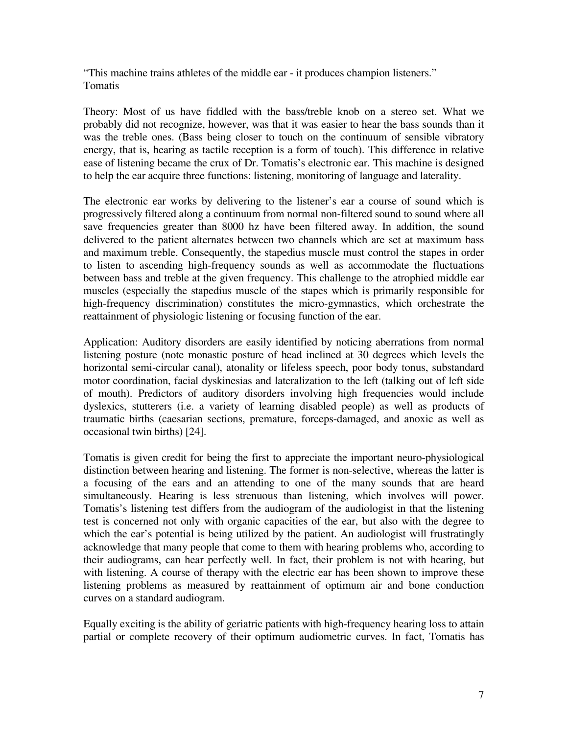"This machine trains athletes of the middle ear - it produces champion listeners." Tomatis

Theory: Most of us have fiddled with the bass/treble knob on a stereo set. What we probably did not recognize, however, was that it was easier to hear the bass sounds than it was the treble ones. (Bass being closer to touch on the continuum of sensible vibratory energy, that is, hearing as tactile reception is a form of touch). This difference in relative ease of listening became the crux of Dr. Tomatis's electronic ear. This machine is designed to help the ear acquire three functions: listening, monitoring of language and laterality.

The electronic ear works by delivering to the listener's ear a course of sound which is progressively filtered along a continuum from normal non-filtered sound to sound where all save frequencies greater than 8000 hz have been filtered away. In addition, the sound delivered to the patient alternates between two channels which are set at maximum bass and maximum treble. Consequently, the stapedius muscle must control the stapes in order to listen to ascending high-frequency sounds as well as accommodate the fluctuations between bass and treble at the given frequency. This challenge to the atrophied middle ear muscles (especially the stapedius muscle of the stapes which is primarily responsible for high-frequency discrimination) constitutes the micro-gymnastics, which orchestrate the reattainment of physiologic listening or focusing function of the ear.

Application: Auditory disorders are easily identified by noticing aberrations from normal listening posture (note monastic posture of head inclined at 30 degrees which levels the horizontal semi-circular canal), atonality or lifeless speech, poor body tonus, substandard motor coordination, facial dyskinesias and lateralization to the left (talking out of left side of mouth). Predictors of auditory disorders involving high frequencies would include dyslexics, stutterers (i.e. a variety of learning disabled people) as well as products of traumatic births (caesarian sections, premature, forceps-damaged, and anoxic as well as occasional twin births) [24].

Tomatis is given credit for being the first to appreciate the important neuro-physiological distinction between hearing and listening. The former is non-selective, whereas the latter is a focusing of the ears and an attending to one of the many sounds that are heard simultaneously. Hearing is less strenuous than listening, which involves will power. Tomatis's listening test differs from the audiogram of the audiologist in that the listening test is concerned not only with organic capacities of the ear, but also with the degree to which the ear's potential is being utilized by the patient. An audiologist will frustratingly acknowledge that many people that come to them with hearing problems who, according to their audiograms, can hear perfectly well. In fact, their problem is not with hearing, but with listening. A course of therapy with the electric ear has been shown to improve these listening problems as measured by reattainment of optimum air and bone conduction curves on a standard audiogram.

Equally exciting is the ability of geriatric patients with high-frequency hearing loss to attain partial or complete recovery of their optimum audiometric curves. In fact, Tomatis has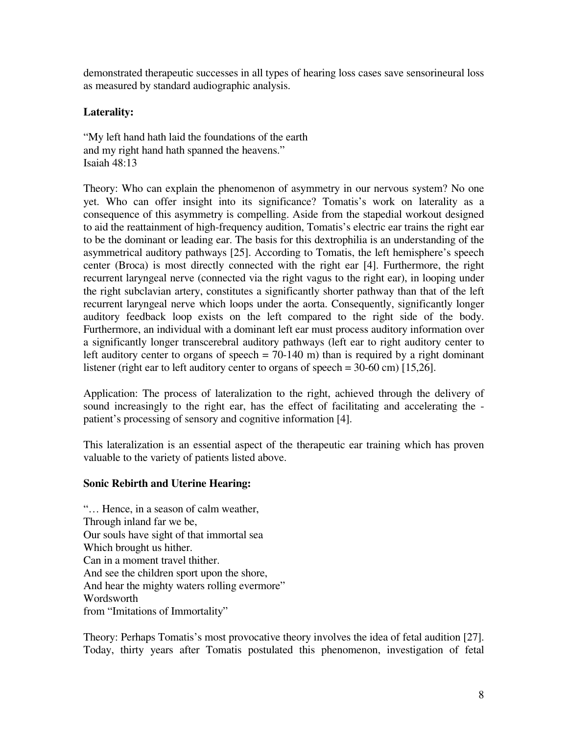demonstrated therapeutic successes in all types of hearing loss cases save sensorineural loss as measured by standard audiographic analysis.

# **Laterality:**

"My left hand hath laid the foundations of the earth and my right hand hath spanned the heavens." Isaiah 48:13

Theory: Who can explain the phenomenon of asymmetry in our nervous system? No one yet. Who can offer insight into its significance? Tomatis's work on laterality as a consequence of this asymmetry is compelling. Aside from the stapedial workout designed to aid the reattainment of high-frequency audition, Tomatis's electric ear trains the right ear to be the dominant or leading ear. The basis for this dextrophilia is an understanding of the asymmetrical auditory pathways [25]. According to Tomatis, the left hemisphere's speech center (Broca) is most directly connected with the right ear [4]. Furthermore, the right recurrent laryngeal nerve (connected via the right vagus to the right ear), in looping under the right subclavian artery, constitutes a significantly shorter pathway than that of the left recurrent laryngeal nerve which loops under the aorta. Consequently, significantly longer auditory feedback loop exists on the left compared to the right side of the body. Furthermore, an individual with a dominant left ear must process auditory information over a significantly longer transcerebral auditory pathways (left ear to right auditory center to left auditory center to organs of speech  $= 70-140$  m) than is required by a right dominant listener (right ear to left auditory center to organs of speech = 30-60 cm) [15,26].

Application: The process of lateralization to the right, achieved through the delivery of sound increasingly to the right ear, has the effect of facilitating and accelerating the patient's processing of sensory and cognitive information [4].

This lateralization is an essential aspect of the therapeutic ear training which has proven valuable to the variety of patients listed above.

## **Sonic Rebirth and Uterine Hearing:**

"… Hence, in a season of calm weather, Through inland far we be, Our souls have sight of that immortal sea Which brought us hither. Can in a moment travel thither. And see the children sport upon the shore, And hear the mighty waters rolling evermore" Wordsworth from "Imitations of Immortality"

Theory: Perhaps Tomatis's most provocative theory involves the idea of fetal audition [27]. Today, thirty years after Tomatis postulated this phenomenon, investigation of fetal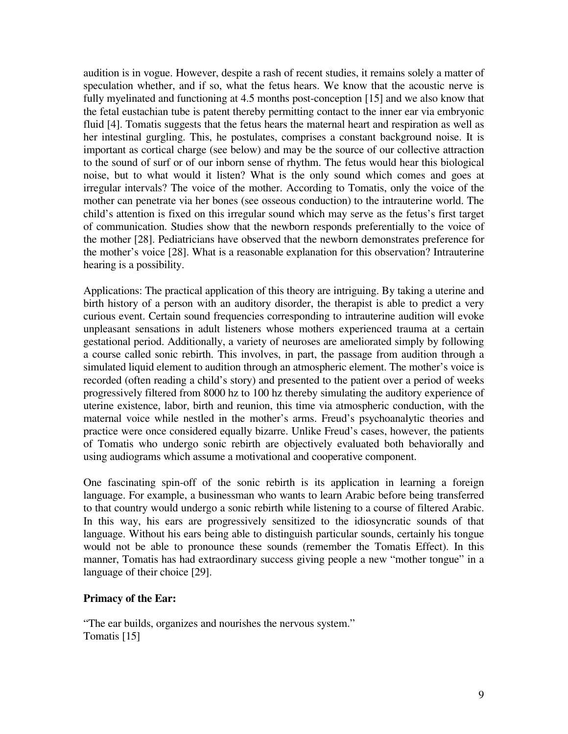audition is in vogue. However, despite a rash of recent studies, it remains solely a matter of speculation whether, and if so, what the fetus hears. We know that the acoustic nerve is fully myelinated and functioning at 4.5 months post-conception [15] and we also know that the fetal eustachian tube is patent thereby permitting contact to the inner ear via embryonic fluid [4]. Tomatis suggests that the fetus hears the maternal heart and respiration as well as her intestinal gurgling. This, he postulates, comprises a constant background noise. It is important as cortical charge (see below) and may be the source of our collective attraction to the sound of surf or of our inborn sense of rhythm. The fetus would hear this biological noise, but to what would it listen? What is the only sound which comes and goes at irregular intervals? The voice of the mother. According to Tomatis, only the voice of the mother can penetrate via her bones (see osseous conduction) to the intrauterine world. The child's attention is fixed on this irregular sound which may serve as the fetus's first target of communication. Studies show that the newborn responds preferentially to the voice of the mother [28]. Pediatricians have observed that the newborn demonstrates preference for the mother's voice [28]. What is a reasonable explanation for this observation? Intrauterine hearing is a possibility.

Applications: The practical application of this theory are intriguing. By taking a uterine and birth history of a person with an auditory disorder, the therapist is able to predict a very curious event. Certain sound frequencies corresponding to intrauterine audition will evoke unpleasant sensations in adult listeners whose mothers experienced trauma at a certain gestational period. Additionally, a variety of neuroses are ameliorated simply by following a course called sonic rebirth. This involves, in part, the passage from audition through a simulated liquid element to audition through an atmospheric element. The mother's voice is recorded (often reading a child's story) and presented to the patient over a period of weeks progressively filtered from 8000 hz to 100 hz thereby simulating the auditory experience of uterine existence, labor, birth and reunion, this time via atmospheric conduction, with the maternal voice while nestled in the mother's arms. Freud's psychoanalytic theories and practice were once considered equally bizarre. Unlike Freud's cases, however, the patients of Tomatis who undergo sonic rebirth are objectively evaluated both behaviorally and using audiograms which assume a motivational and cooperative component.

One fascinating spin-off of the sonic rebirth is its application in learning a foreign language. For example, a businessman who wants to learn Arabic before being transferred to that country would undergo a sonic rebirth while listening to a course of filtered Arabic. In this way, his ears are progressively sensitized to the idiosyncratic sounds of that language. Without his ears being able to distinguish particular sounds, certainly his tongue would not be able to pronounce these sounds (remember the Tomatis Effect). In this manner, Tomatis has had extraordinary success giving people a new "mother tongue" in a language of their choice [29].

#### **Primacy of the Ear:**

"The ear builds, organizes and nourishes the nervous system." Tomatis [15]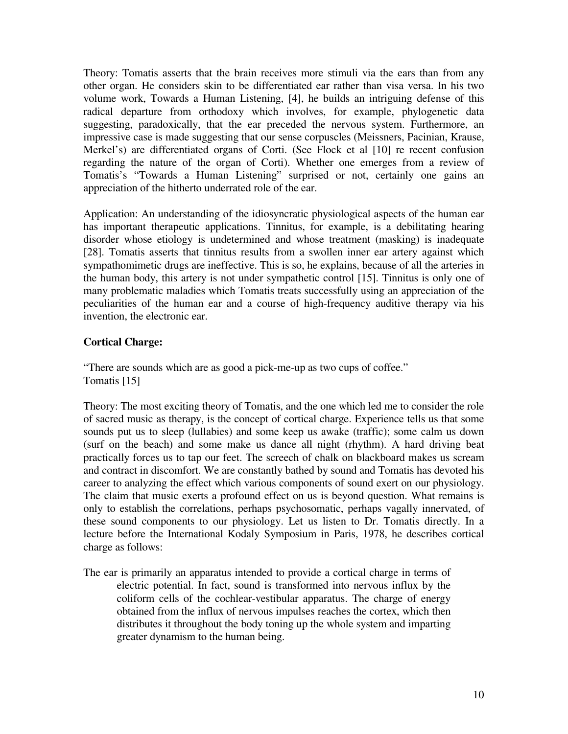Theory: Tomatis asserts that the brain receives more stimuli via the ears than from any other organ. He considers skin to be differentiated ear rather than visa versa. In his two volume work, Towards a Human Listening, [4], he builds an intriguing defense of this radical departure from orthodoxy which involves, for example, phylogenetic data suggesting, paradoxically, that the ear preceded the nervous system. Furthermore, an impressive case is made suggesting that our sense corpuscles (Meissners, Pacinian, Krause, Merkel's) are differentiated organs of Corti. (See Flock et al [10] re recent confusion regarding the nature of the organ of Corti). Whether one emerges from a review of Tomatis's "Towards a Human Listening" surprised or not, certainly one gains an appreciation of the hitherto underrated role of the ear.

Application: An understanding of the idiosyncratic physiological aspects of the human ear has important therapeutic applications. Tinnitus, for example, is a debilitating hearing disorder whose etiology is undetermined and whose treatment (masking) is inadequate [28]. Tomatis asserts that tinnitus results from a swollen inner ear artery against which sympathomimetic drugs are ineffective. This is so, he explains, because of all the arteries in the human body, this artery is not under sympathetic control [15]. Tinnitus is only one of many problematic maladies which Tomatis treats successfully using an appreciation of the peculiarities of the human ear and a course of high-frequency auditive therapy via his invention, the electronic ear.

## **Cortical Charge:**

"There are sounds which are as good a pick-me-up as two cups of coffee." Tomatis [15]

Theory: The most exciting theory of Tomatis, and the one which led me to consider the role of sacred music as therapy, is the concept of cortical charge. Experience tells us that some sounds put us to sleep (lullabies) and some keep us awake (traffic); some calm us down (surf on the beach) and some make us dance all night (rhythm). A hard driving beat practically forces us to tap our feet. The screech of chalk on blackboard makes us scream and contract in discomfort. We are constantly bathed by sound and Tomatis has devoted his career to analyzing the effect which various components of sound exert on our physiology. The claim that music exerts a profound effect on us is beyond question. What remains is only to establish the correlations, perhaps psychosomatic, perhaps vagally innervated, of these sound components to our physiology. Let us listen to Dr. Tomatis directly. In a lecture before the International Kodaly Symposium in Paris, 1978, he describes cortical charge as follows:

The ear is primarily an apparatus intended to provide a cortical charge in terms of electric potential. In fact, sound is transformed into nervous influx by the coliform cells of the cochlear-vestibular apparatus. The charge of energy obtained from the influx of nervous impulses reaches the cortex, which then distributes it throughout the body toning up the whole system and imparting greater dynamism to the human being.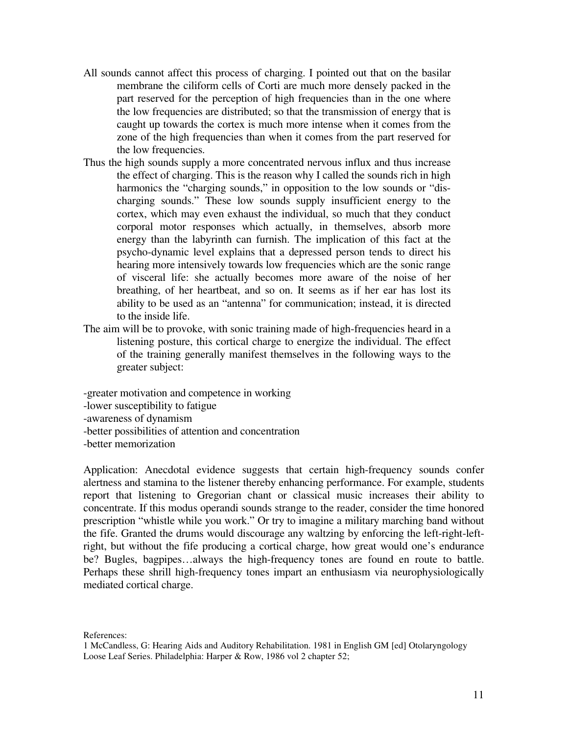- All sounds cannot affect this process of charging. I pointed out that on the basilar membrane the ciliform cells of Corti are much more densely packed in the part reserved for the perception of high frequencies than in the one where the low frequencies are distributed; so that the transmission of energy that is caught up towards the cortex is much more intense when it comes from the zone of the high frequencies than when it comes from the part reserved for the low frequencies.
- Thus the high sounds supply a more concentrated nervous influx and thus increase the effect of charging. This is the reason why I called the sounds rich in high harmonics the "charging sounds," in opposition to the low sounds or "discharging sounds." These low sounds supply insufficient energy to the cortex, which may even exhaust the individual, so much that they conduct corporal motor responses which actually, in themselves, absorb more energy than the labyrinth can furnish. The implication of this fact at the psycho-dynamic level explains that a depressed person tends to direct his hearing more intensively towards low frequencies which are the sonic range of visceral life: she actually becomes more aware of the noise of her breathing, of her heartbeat, and so on. It seems as if her ear has lost its ability to be used as an "antenna" for communication; instead, it is directed to the inside life.
- The aim will be to provoke, with sonic training made of high-frequencies heard in a listening posture, this cortical charge to energize the individual. The effect of the training generally manifest themselves in the following ways to the greater subject:
- -greater motivation and competence in working
- -lower susceptibility to fatigue
- -awareness of dynamism
- -better possibilities of attention and concentration

-better memorization

Application: Anecdotal evidence suggests that certain high-frequency sounds confer alertness and stamina to the listener thereby enhancing performance. For example, students report that listening to Gregorian chant or classical music increases their ability to concentrate. If this modus operandi sounds strange to the reader, consider the time honored prescription "whistle while you work." Or try to imagine a military marching band without the fife. Granted the drums would discourage any waltzing by enforcing the left-right-leftright, but without the fife producing a cortical charge, how great would one's endurance be? Bugles, bagpipes…always the high-frequency tones are found en route to battle. Perhaps these shrill high-frequency tones impart an enthusiasm via neurophysiologically mediated cortical charge.

References:

<sup>1</sup> McCandless, G: Hearing Aids and Auditory Rehabilitation. 1981 in English GM [ed] Otolaryngology Loose Leaf Series. Philadelphia: Harper & Row, 1986 vol 2 chapter 52;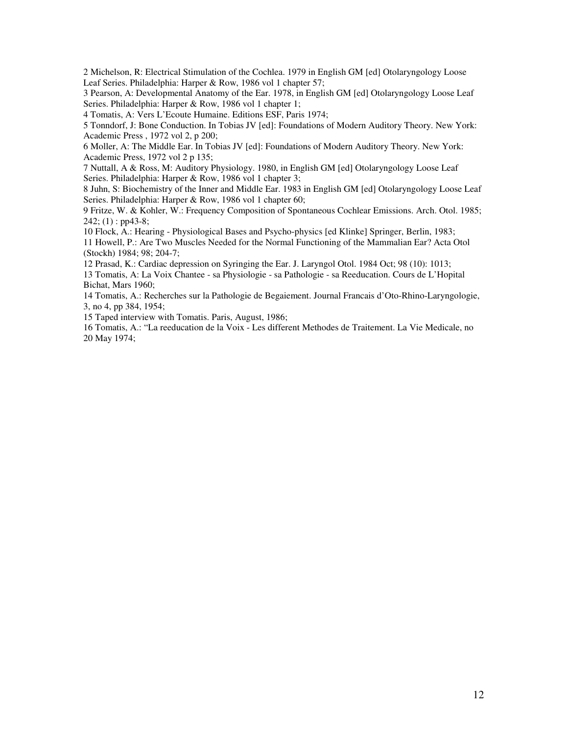2 Michelson, R: Electrical Stimulation of the Cochlea. 1979 in English GM [ed] Otolaryngology Loose Leaf Series. Philadelphia: Harper & Row, 1986 vol 1 chapter 57;

3 Pearson, A: Developmental Anatomy of the Ear. 1978, in English GM [ed] Otolaryngology Loose Leaf Series. Philadelphia: Harper & Row, 1986 vol 1 chapter 1;

4 Tomatis, A: Vers L'Ecoute Humaine. Editions ESF, Paris 1974;

5 Tonndorf, J: Bone Conduction. In Tobias JV [ed]: Foundations of Modern Auditory Theory. New York: Academic Press , 1972 vol 2, p 200;

6 Moller, A: The Middle Ear. In Tobias JV [ed]: Foundations of Modern Auditory Theory. New York: Academic Press, 1972 vol 2 p 135;

7 Nuttall, A & Ross, M: Auditory Physiology. 1980, in English GM [ed] Otolaryngology Loose Leaf Series. Philadelphia: Harper & Row, 1986 vol 1 chapter 3;

8 Juhn, S: Biochemistry of the Inner and Middle Ear. 1983 in English GM [ed] Otolaryngology Loose Leaf Series. Philadelphia: Harper & Row, 1986 vol 1 chapter 60;

9 Fritze, W. & Kohler, W.: Frequency Composition of Spontaneous Cochlear Emissions. Arch. Otol. 1985;  $242$ ; (1) : pp43-8;

10 Flock, A.: Hearing - Physiological Bases and Psycho-physics [ed Klinke] Springer, Berlin, 1983;

11 Howell, P.: Are Two Muscles Needed for the Normal Functioning of the Mammalian Ear? Acta Otol (Stockh) 1984; 98; 204-7;

12 Prasad, K.: Cardiac depression on Syringing the Ear. J. Laryngol Otol. 1984 Oct; 98 (10): 1013;

13 Tomatis, A: La Voix Chantee - sa Physiologie - sa Pathologie - sa Reeducation. Cours de L'Hopital Bichat, Mars 1960;

14 Tomatis, A.: Recherches sur la Pathologie de Begaiement. Journal Francais d'Oto-Rhino-Laryngologie, 3, no 4, pp 384, 1954;

15 Taped interview with Tomatis. Paris, August, 1986;

16 Tomatis, A.: "La reeducation de la Voix - Les different Methodes de Traitement. La Vie Medicale, no 20 May 1974;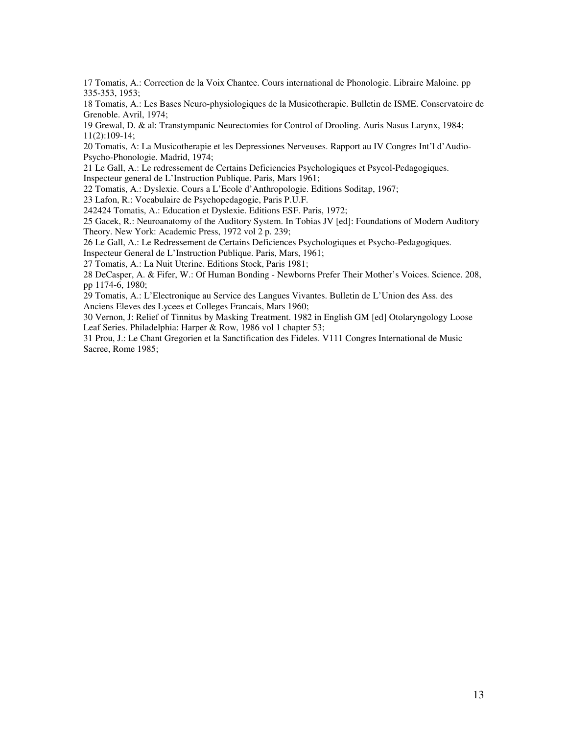17 Tomatis, A.: Correction de la Voix Chantee. Cours international de Phonologie. Libraire Maloine. pp 335-353, 1953;

18 Tomatis, A.: Les Bases Neuro-physiologiques de la Musicotherapie. Bulletin de ISME. Conservatoire de Grenoble. Avril, 1974;

19 Grewal, D. & al: Transtympanic Neurectomies for Control of Drooling. Auris Nasus Larynx, 1984; 11(2):109-14;

20 Tomatis, A: La Musicotherapie et les Depressiones Nerveuses. Rapport au IV Congres Int'l d'Audio-Psycho-Phonologie. Madrid, 1974;

21 Le Gall, A.: Le redressement de Certains Deficiencies Psychologiques et Psycol-Pedagogiques.

Inspecteur general de L'Instruction Publique. Paris, Mars 1961;

22 Tomatis, A.: Dyslexie. Cours a L'Ecole d'Anthropologie. Editions Soditap, 1967;

23 Lafon, R.: Vocabulaire de Psychopedagogie, Paris P.U.F.

242424 Tomatis, A.: Education et Dyslexie. Editions ESF. Paris, 1972;

25 Gacek, R.: Neuroanatomy of the Auditory System. In Tobias JV [ed]: Foundations of Modern Auditory Theory. New York: Academic Press, 1972 vol 2 p. 239;

26 Le Gall, A.: Le Redressement de Certains Deficiences Psychologiques et Psycho-Pedagogiques. Inspecteur General de L'Instruction Publique. Paris, Mars, 1961;

27 Tomatis, A.: La Nuit Uterine. Editions Stock, Paris 1981;

28 DeCasper, A. & Fifer, W.: Of Human Bonding - Newborns Prefer Their Mother's Voices. Science. 208, pp 1174-6, 1980;

29 Tomatis, A.: L'Electronique au Service des Langues Vivantes. Bulletin de L'Union des Ass. des Anciens Eleves des Lycees et Colleges Francais, Mars 1960;

30 Vernon, J: Relief of Tinnitus by Masking Treatment. 1982 in English GM [ed] Otolaryngology Loose Leaf Series. Philadelphia: Harper & Row, 1986 vol 1 chapter 53;

31 Prou, J.: Le Chant Gregorien et la Sanctification des Fideles. V111 Congres International de Music Sacree, Rome 1985;